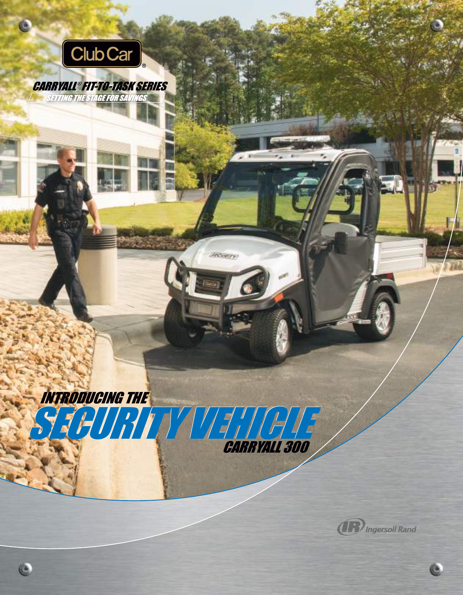

 $\bullet$ 

# CARRYALL ® FIT-TO-TASK SERIES

INTRODUCING THE

e

SECURITY VEHE

CARRYALL 300

**SECURITY** 



Ġ